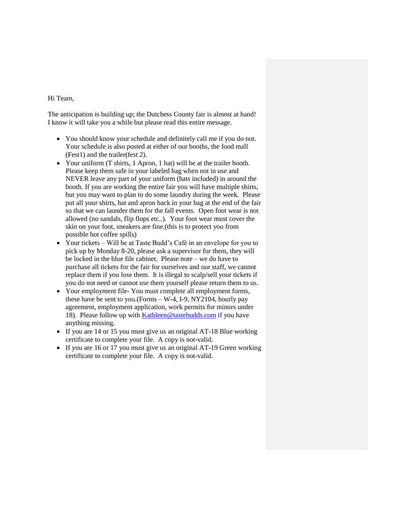### Hi Team,

The anticipation is building up; the Dutchess County fair is almost at hand! I know it will take you a while but please read this entire message.

- You should know your schedule and definitely call me if you do not. Your schedule is also posted at either of our booths, the food mall (Fest1) and the trailer(fest 2).
- Your uniform (T shirts, 1 Apron, 1 hat) will be at the trailer booth. Please keep them safe in your labeled bag when not in use and NEVER leave any part of your uniform (hats included) in around the booth. If you are working the entire fair you will have multiple shirts, but you may want to plan to do some laundry during the week. Please put all your shirts, hat and apron back in your bag at the end of the fair so that we can launder them for the fall events. Open foot wear is not allowed (no sandals, flip flops etc..). Your foot wear must cover the skin on your foot, sneakers are fine.(this is to protect you from possible hot coffee spills)
- Your tickets Will be at Taste Budd's Café in an envelope for you to pick up by Monday 8-20, please ask a supervisor for them, they will be locked in the blue file cabinet. Please note – we do have to purchase all tickets for the fair for ourselves and our staff, we cannot replace them if you lose them. It is illegal to scalp/sell your tickets if you do not need or cannot use them yourself please return them to us.
- Your employment file- You must complete all employment forms, these have be sent to you.(Forms  $- W-4$ , I-9, NY2104, hourly pay agreement, employment application, work permits for minors under 18). Please follow up with [Kathleen@tastebudds.com](mailto:Kathleen@tastebudds.com) if you have anything missing.
- If you are 14 or 15 you must give us an original AT-18 Blue working certificate to complete your file. A copy is not-valid.
- If you are 16 or 17 you must give us an original AT-19 Green working certificate to complete your file. A copy is not-valid.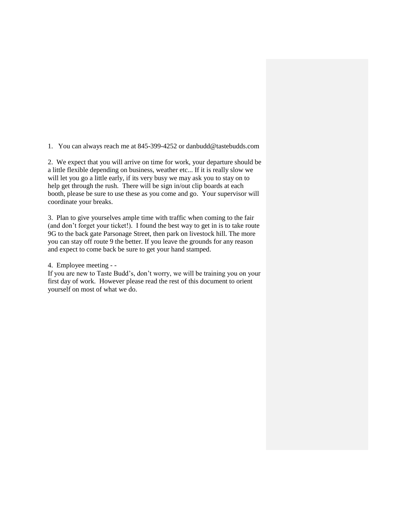1. You can always reach me at 845-399-4252 or danbudd@tastebudds.com

2. We expect that you will arrive on time for work, your departure should be a little flexible depending on business, weather etc... If it is really slow we will let you go a little early, if its very busy we may ask you to stay on to help get through the rush. There will be sign in/out clip boards at each booth, please be sure to use these as you come and go. Your supervisor will coordinate your breaks.

3. Plan to give yourselves ample time with traffic when coming to the fair (and don't forget your ticket!). I found the best way to get in is to take route 9G to the back gate Parsonage Street, then park on livestock hill. The more you can stay off route 9 the better. If you leave the grounds for any reason and expect to come back be sure to get your hand stamped.

4. Employee meeting - -

If you are new to Taste Budd's, don't worry, we will be training you on your first day of work. However please read the rest of this document to orient yourself on most of what we do.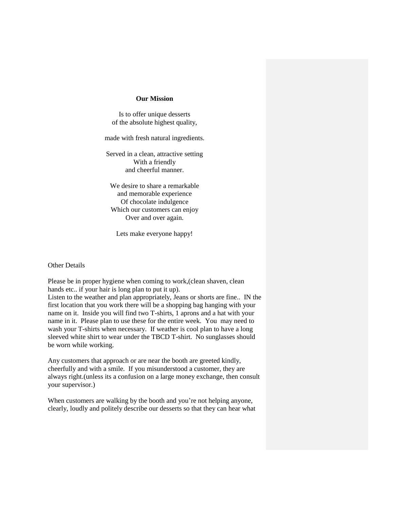#### **Our Mission**

Is to offer unique desserts of the absolute highest quality,

made with fresh natural ingredients.

Served in a clean, attractive setting With a friendly and cheerful manner.

We desire to share a remarkable and memorable experience Of chocolate indulgence Which our customers can enjoy Over and over again.

Lets make everyone happy!

Other Details

Please be in proper hygiene when coming to work,(clean shaven, clean hands etc.. if your hair is long plan to put it up). Listen to the weather and plan appropriately, Jeans or shorts are fine.. IN the

first location that you work there will be a shopping bag hanging with your name on it. Inside you will find two T-shirts, 1 aprons and a hat with your name in it. Please plan to use these for the entire week. You may need to wash your T-shirts when necessary. If weather is cool plan to have a long sleeved white shirt to wear under the TBCD T-shirt. No sunglasses should be worn while working.

Any customers that approach or are near the booth are greeted kindly, cheerfully and with a smile. If you misunderstood a customer, they are always right.(unless its a confusion on a large money exchange, then consult your supervisor.)

When customers are walking by the booth and you're not helping anyone, clearly, loudly and politely describe our desserts so that they can hear what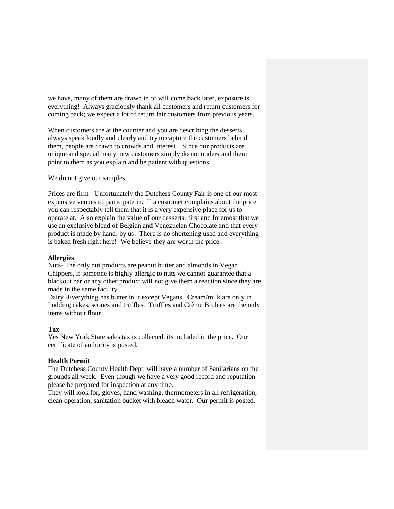we have, many of them are drawn in or will come back later, exposure is everything! Always graciously thank all customers and return customers for coming back; we expect a lot of return fair customers from previous years.

When customers are at the counter and you are describing the desserts always speak loudly and clearly and try to capture the customers behind them, people are drawn to crowds and interest. Since our products are unique and special many new customers simply do not understand them point to them as you explain and be patient with questions.

We do not give out samples.

Prices are firm - Unfortunately the Dutchess County Fair is one of our most expensive venues to participate in. If a customer complains about the price you can respectably tell them that it is a very expensive place for us to operate at. Also explain the value of our desserts; first and foremost that we use an exclusive blend of Belgian and Venezuelan Chocolate and that every product is made by hand, by us. There is no shortening used and everything is baked fresh right here! We believe they are worth the price.

### **Allergies**

Nuts- The only nut products are peanut butter and almonds in Vegan Chippers, if someone is highly allergic to nuts we cannot guarantee that a blackout bar or any other product will not give them a reaction since they are made in the same facility.

Dairy -Everything has butter in it except Vegans. Cream/milk are only in Pudding cakes, scones and truffles. Truffles and Crème Brulees are the only items without flour.

# **Tax**

Yes New York State sales tax is collected, its included in the price. Our certificate of authority is posted.

# **Health Permit**

The Dutchess County Health Dept. will have a number of Sanitarians on the grounds all week. Even though we have a very good record and reputation please be prepared for inspection at any time.

They will look for, gloves, hand washing, thermometers in all refrigeration, clean operation, sanitation bucket with bleach water. Our permit is posted.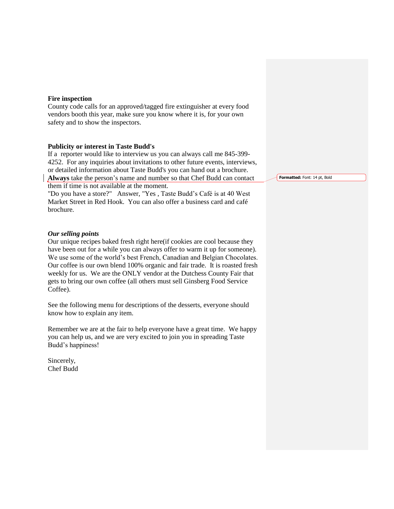### **Fire inspection**

County code calls for an approved/tagged fire extinguisher at every food vendors booth this year, make sure you know where it is, for your own safety and to show the inspectors.

### **Publicity or interest in Taste Budd's**

If a reporter would like to interview us you can always call me 845-399- 4252. For any inquiries about invitations to other future events, interviews, or detailed information about Taste Budd's you can hand out a brochure. **Always** take the person's name and number so that Chef Budd can contact

them if time is not available at the moment.

"Do you have a store?" Answer, "Yes , Taste Budd's Café is at 40 West Market Street in Red Hook. You can also offer a business card and café brochure.

#### *Our selling points*

Our unique recipes baked fresh right here(if cookies are cool because they have been out for a while you can always offer to warm it up for someone). We use some of the world's best French, Canadian and Belgian Chocolates. Our coffee is our own blend 100% organic and fair trade. It is roasted fresh weekly for us. We are the ONLY vendor at the Dutchess County Fair that gets to bring our own coffee (all others must sell Ginsberg Food Service Coffee).

See the following menu for descriptions of the desserts, everyone should know how to explain any item.

Remember we are at the fair to help everyone have a great time. We happy you can help us, and we are very excited to join you in spreading Taste Budd's happiness!

Sincerely, Chef Budd **Formatted:** Font: 14 pt, Bold